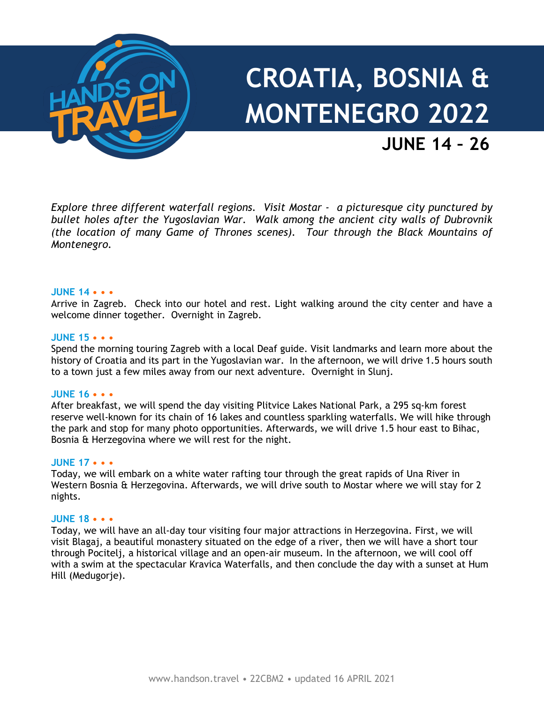

# **CROATIA, BOSNIA & MONTENEGRO 2022 JUNE 14 – 26**

*Explore three different waterfall regions. Visit Mostar - a picturesque city punctured by bullet holes after the Yugoslavian War. Walk among the ancient city walls of Dubrovnik (the location of many Game of Thrones scenes). Tour through the Black Mountains of Montenegro.*

#### **JUNE 14 • • •**

Arrive in Zagreb. Check into our hotel and rest. Light walking around the city center and have a welcome dinner together. Overnight in Zagreb.

## **JUNE 15 • • •**

Spend the morning touring Zagreb with a local Deaf guide. Visit landmarks and learn more about the history of Croatia and its part in the Yugoslavian war. In the afternoon, we will drive 1.5 hours south to a town just a few miles away from our next adventure. Overnight in Slunj.

#### **JUNE 16 • • •**

After breakfast, we will spend the day visiting Plitvice Lakes National Park, a 295 sq-km forest reserve well-known for its chain of 16 lakes and countless sparkling waterfalls. We will hike through the park and stop for many photo opportunities. Afterwards, we will drive 1.5 hour east to Bihac, Bosnia & Herzegovina where we will rest for the night.

# **JUNE 17 • • •**

Today, we will embark on a white water rafting tour through the great rapids of Una River in Western Bosnia & Herzegovina. Afterwards, we will drive south to Mostar where we will stay for 2 nights.

# **JUNE 18 • • •**

Today, we will have an all-day tour visiting four major attractions in Herzegovina. First, we will visit Blagaj, a beautiful monastery situated on the edge of a river, then we will have a short tour through Pocitelj, a historical village and an open-air museum. In the afternoon, we will cool off with a swim at the spectacular Kravica Waterfalls, and then conclude the day with a sunset at Hum Hill (Medugorje).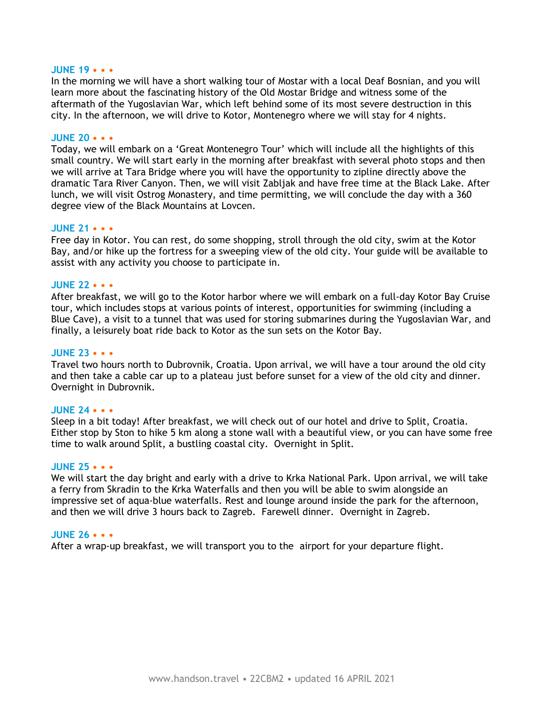## **JUNE 19 • • •**

In the morning we will have a short walking tour of Mostar with a local Deaf Bosnian, and you will learn more about the fascinating history of the Old Mostar Bridge and witness some of the aftermath of the Yugoslavian War, which left behind some of its most severe destruction in this city. In the afternoon, we will drive to Kotor, Montenegro where we will stay for 4 nights.

#### **JUNE 20 • • •**

Today, we will embark on a 'Great Montenegro Tour' which will include all the highlights of this small country. We will start early in the morning after breakfast with several photo stops and then we will arrive at Tara Bridge where you will have the opportunity to zipline directly above the dramatic Tara River Canyon. Then, we will visit Zabljak and have free time at the Black Lake. After lunch, we will visit Ostrog Monastery, and time permitting, we will conclude the day with a 360 degree view of the Black Mountains at Lovcen.

#### **JUNE 21 • • •**

Free day in Kotor. You can rest, do some shopping, stroll through the old city, swim at the Kotor Bay, and/or hike up the fortress for a sweeping view of the old city. Your guide will be available to assist with any activity you choose to participate in.

#### **JUNE 22 • • •**

After breakfast, we will go to the Kotor harbor where we will embark on a full-day Kotor Bay Cruise tour, which includes stops at various points of interest, opportunities for swimming (including a Blue Cave), a visit to a tunnel that was used for storing submarines during the Yugoslavian War, and finally, a leisurely boat ride back to Kotor as the sun sets on the Kotor Bay.

#### **JUNE 23 • • •**

Travel two hours north to Dubrovnik, Croatia. Upon arrival, we will have a tour around the old city and then take a cable car up to a plateau just before sunset for a view of the old city and dinner. Overnight in Dubrovnik.

#### **JUNE 24 • • •**

Sleep in a bit today! After breakfast, we will check out of our hotel and drive to Split, Croatia. Either stop by Ston to hike 5 km along a stone wall with a beautiful view, or you can have some free time to walk around Split, a bustling coastal city. Overnight in Split.

#### **JUNE 25 • • •**

We will start the day bright and early with a drive to Krka National Park. Upon arrival, we will take a ferry from Skradin to the Krka Waterfalls and then you will be able to swim alongside an impressive set of aqua-blue waterfalls. Rest and lounge around inside the park for the afternoon, and then we will drive 3 hours back to Zagreb. Farewell dinner. Overnight in Zagreb.

#### **JUNE 26 • • •**

After a wrap-up breakfast, we will transport you to the airport for your departure flight.